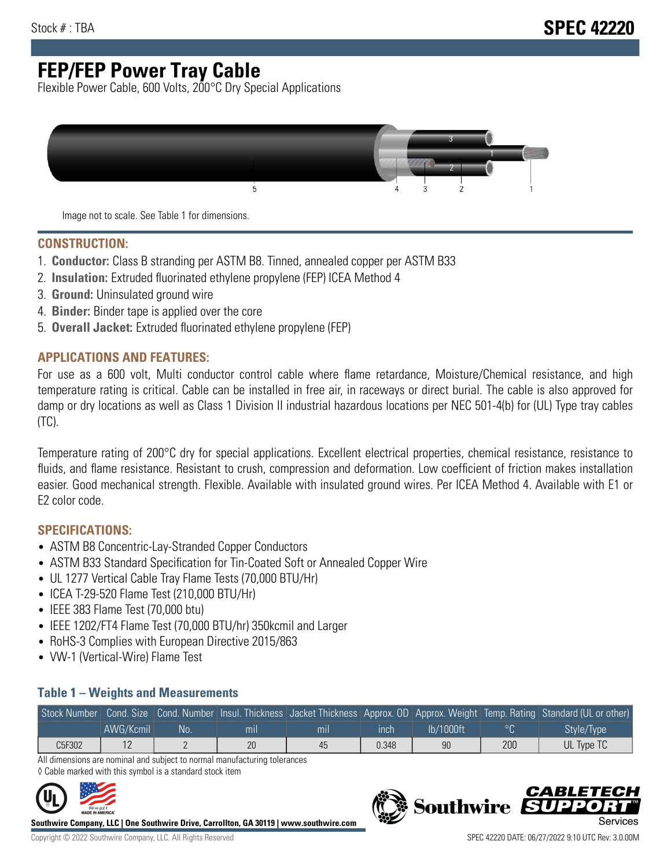# **FEP/FEP Power Tray Cable**

Flexible Power Cable, 600 Volts, 200°C Dry Special Applications



Image not to scale. See Table 1 for dimensions.

#### **CONSTRUCTION:**

- 1. **Conductor:** Class B stranding per ASTM B8. Tinned, annealed copper per ASTM B33
- 2. **Insulation:** Extruded fluorinated ethylene propylene (FEP) ICEA Method 4
- 3. **Ground:** Uninsulated ground wire
- 4. **Binder:** Binder tape is applied over the core
- 5. **Overall Jacket:** Extruded fluorinated ethylene propylene (FEP)

### **APPLICATIONS AND FEATURES:**

For use as a 600 volt, Multi conductor control cable where flame retardance, Moisture/Chemical resistance, and high temperature rating is critical. Cable can be installed in free air, in raceways or direct burial. The cable is also approved for damp or dry locations as well as Class 1 Division II industrial hazardous locations per NEC 501-4(b) for (UL) Type tray cables (TC).

Temperature rating of 200°C dry for special applications. Excellent electrical properties, chemical resistance, resistance to fluids, and flame resistance. Resistant to crush, compression and deformation. Low coefficient of friction makes installation easier. Good mechanical strength. Flexible. Available with insulated ground wires. Per ICEA Method 4. Available with E1 or E2 color code.

### **SPECIFICATIONS:**

- ASTM B8 Concentric-Lay-Stranded Copper Conductors
- ASTM B33 Standard Specification for Tin-Coated Soft or Annealed Copper Wire
- UL 1277 Vertical Cable Tray Flame Tests (70,000 BTU/Hr)
- ICEA T-29-520 Flame Test (210,000 BTU/Hr)
- IEEE 383 Flame Test (70,000 btu)
- IEEE 1202/FT4 Flame Test (70,000 BTU/hr) 350kcmil and Larger
- RoHS-3 Complies with European Directive 2015/863
- VW-1 (Vertical-Wire) Flame Test

#### **Table 1 – Weights and Measurements**

|        |           |      |     |     |       |           |     | Stock Number Cond. Size Cond. Number Insul. Thickness Jacket Thickness Approx. OD Approx. Weight Temp. Rating Standard (UL or other) |
|--------|-----------|------|-----|-----|-------|-----------|-----|--------------------------------------------------------------------------------------------------------------------------------------|
|        | AWG/Kcmil | .No: | mıl | mil | ınch  | lb/1000ft |     | Style/Type                                                                                                                           |
| C5F302 |           |      | 20  | 45  | 0.348 | 90        | 200 | UL Type TC                                                                                                                           |

All dimensions are nominal and subject to normal manufacturing tolerances ◊ Cable marked with this symbol is a standard stock item



**Southwire Company, LLC | One Southwire Drive, Carrollton, GA 30119 | www.southwire.com**